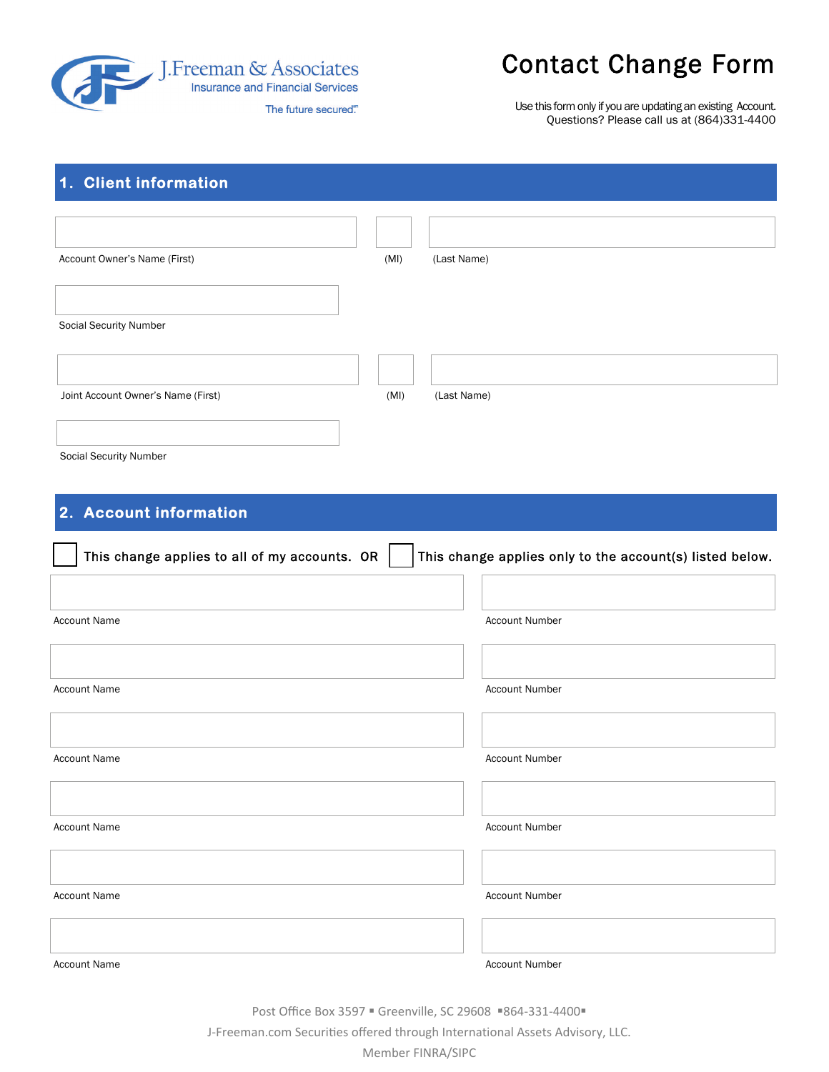

# Contact Change Form

Use this form only if you are updating an existing Account. Questions? Please call us at (864)331-4400

# **1. Client information**

| Account Owner's Name (First)       | (MI) | (Last Name) |
|------------------------------------|------|-------------|
|                                    |      |             |
|                                    |      |             |
| Social Security Number             |      |             |
|                                    |      |             |
|                                    |      |             |
| Joint Account Owner's Name (First) | (MI) | (Last Name) |
|                                    |      |             |

Social Security Number

# **2. Account information**

| This change applies to all of my accounts. OR | This change applies only to the account(s) listed below. |
|-----------------------------------------------|----------------------------------------------------------|
|                                               |                                                          |
| <b>Account Name</b>                           | <b>Account Number</b>                                    |
|                                               |                                                          |
| <b>Account Name</b>                           | <b>Account Number</b>                                    |
|                                               |                                                          |
| <b>Account Name</b>                           | <b>Account Number</b>                                    |
|                                               |                                                          |
| <b>Account Name</b>                           | <b>Account Number</b>                                    |
|                                               |                                                          |
| <b>Account Name</b>                           | <b>Account Number</b>                                    |
|                                               |                                                          |
| <b>Account Name</b>                           | <b>Account Number</b>                                    |

Post Office Box 3597 · Greenville, SC 29608 · 864-331-4400 ·

J-Freeman.com Securities offered through International Assets Advisory, LLC.

Member FINRA/SIPC